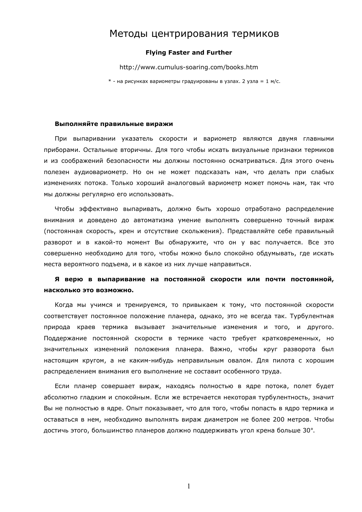# Методы центрирования термиков

## **Flying Faster and Further**

http://www.cumulus-soaring.com/books.htm

\* - на рисунках вариометры градуированы в узлах. 2 узла = 1 м/с.

## Выполняйте правильные виражи

При выпаривании указатель скорости и вариометр являются двумя главными приборами. Остальные вторичны. Для того чтобы искать визуальные признаки термиков и из соображений безопасности мы должны постоянно осматриваться. Для этого очень полезен аудиовариометр. Но он не может подсказать нам, что делать при слабых изменениях потока. Только хороший аналоговый вариометр может помочь нам, так что мы должны регулярно его использовать.

Чтобы эффективно выпаривать, должно быть хорошо отработано распределение внимания и доведено до автоматизма умение выполнять совершенно точный вираж (постоянная скорость, крен и отсутствие скольжения). Представляйте себе правильный разворот и в какой-то момент Вы обнаружите, что он у вас получается. Все это совершенно необходимо для того, чтобы можно было спокойно обдумывать, где искать места вероятного подъема, и в какое из них лучше направиться.

## Я верю в выпаривание на постоянной скорости или почти постоянной, насколько это возможно.

Когда мы учимся и тренируемся, то привыкаем к тому, что постоянной скорости соответствует постоянное положение планера, однако, это не всегда так. Турбулентная природа краев термика вызывает значительные изменения и того, и другого. Поддержание постоянной скорости в термике часто требует кратковременных, но значительных изменений положения планера. Важно, чтобы круг разворота был настоящим кругом, а не каким-нибудь неправильным овалом. Для пилота с хорошим распределением внимания его выполнение не составит особенного труда.

Если планер совершает вираж, находясь полностью в ядре потока, полет будет абсолютно гладким и спокойным. Если же встречается некоторая турбулентность, значит Вы не полностью в ядре. Опыт показывает, что для того, чтобы попасть в ядро термика и оставаться в нем, необходимо выполнять вираж диаметром не более 200 метров. Чтобы достичь этого, большинство планеров должно поддерживать угол крена больше 30°.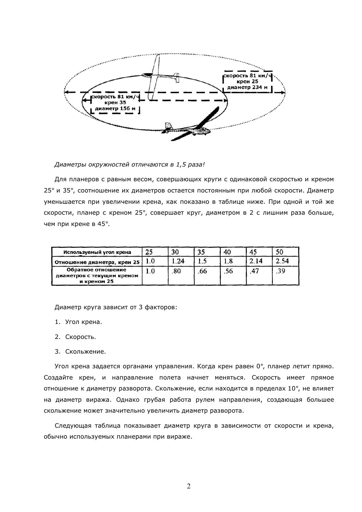

Диаметры окружностей отличаются в 1,5 раза!

Для планеров с равным весом, совершающих круги с одинаковой скоростью и креном 25° и 35°, соотношение их диаметров остается постоянным при любой скорости. Диаметр уменьшается при увеличении крена, как показано в таблице ниже. При одной и той же скорости, планер с креном 25°, совершает круг, диаметром в 2 с лишним раза больше, чем при крене в 45°.

| Используемый угол крена                                         | 25 |    |    | 40 | 45   |     |
|-----------------------------------------------------------------|----|----|----|----|------|-----|
| Отношение диаметра, крен 25                                     |    | 24 |    | O  | 2.14 | .54 |
| Обратное отношение<br>диаметров с текущим креном<br>и креном 25 |    | 80 | 66 | эo |      | 39  |

Диаметр круга зависит от 3 факторов:

- 1. Угол крена.
- 2. Скорость.
- 3. Скольжение.

Угол крена задается органами управления. Когда крен равен 0°, планер летит прямо. Создайте крен, и направление полета начнет меняться. Скорость имеет прямое отношение к диаметру разворота. Скольжение, если находится в пределах 10°, не влияет на диаметр виража. Однако грубая работа рулем направления, создающая большее скольжение может значительно увеличить диаметр разворота.

Следующая таблица показывает диаметр круга в зависимости от скорости и крена, обычно используемых планерами при вираже.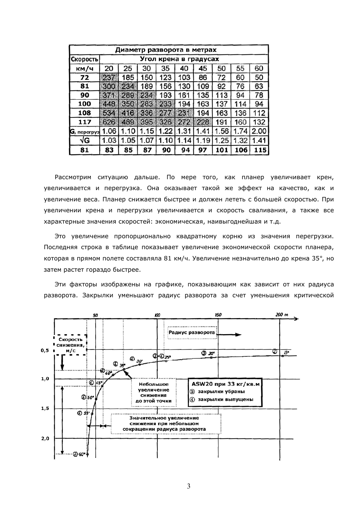| Диаметр разворота в метрах |                       |      |          |      |      |      |         |      |      |
|----------------------------|-----------------------|------|----------|------|------|------|---------|------|------|
| Скорость                   | Угол крена в градусах |      |          |      |      |      |         |      |      |
| км/ч                       | 20                    | 25   | 30       | 35   | 40   | 45   | 50      | 55   | 60   |
| 72                         | 237                   | 185  | 150      | 123  | 103  | 86   | 72      | 60   | 50   |
| 81                         | 300                   | 234  | 189      | 156  | 130  | 109  | 92      | 76   | 63   |
| 90                         | 3761                  | 289  | 284      | 193  | 161  | 135  | 13<br>1 | 94   | 78   |
| 100                        | 443                   | 350  | 283      | 233  | 194  | 163  | 137     | 114  | 94   |
| 108                        | 53.                   | 416  | 336      | 27T  | 231  | 194  | 163     | 136  | 112  |
| 117                        | 626                   | 489  | 395      | 326  | 272  | 228  | 191     | 160  | 132  |
| $Gr$ перегруз              | 1.06                  | 1.10 | 15<br>1. | 1.22 | 1.31 | 1.41 | .56     | .74  | 2.00 |
| √G                         | 1.03                  | 1.05 | 1.07     | 1.10 | 14   | 1.19 | 1.25    | 1.32 | 1.41 |
| 81                         | 83                    | 85   | 87       | 90   | 94   | 97   | 101     | 106  | 115  |

Рассмотрим ситуацию дальше. По мере того, как планер увеличивает крен, увеличивается и перегрузка. Она оказывает такой же эффект на качество, как и увеличение веса. Планер снижается быстрее и должен лететь с большей скоростью. При увеличении крена и перегрузки увеличивается и скорость сваливания, а также все характерные значения скоростей: экономическая, наивыгоднейшая и т.д.

Это увеличение пропорционально квадратному корню из значения перегрузки. Последняя строка в таблице показывает увеличение экономической скорости планера, которая в прямом полете составляла 81 км/ч. Увеличение незначительно до крена 35°, но затем растет гораздо быстрее.

Эти факторы изображены на графике, показывающим как зависит от них радиуса разворота. Закрылки уменьшают радиус разворота за счет уменьшения критической

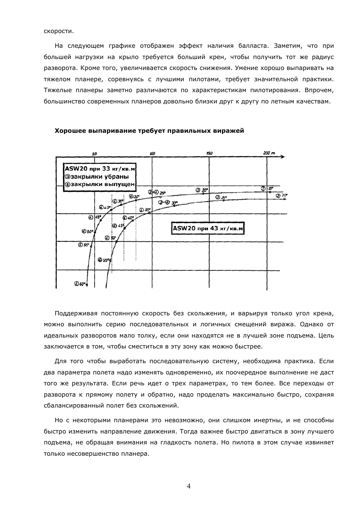скорости.

На следующем графике отображен эффект наличия балласта. Заметим, что при большей нагрузки на крыло требуется больший крен, чтобы получить тот же радиус разворота. Кроме того, увеличивается скорость снижения. Умение хорошо выпаривать на тяжелом планере, соревнуясь с лучшими пилотами, требует значительной практики. Тяжелые планеры заметно различаются по характеристикам пилотирования. Впрочем, большинство современных планеров довольно близки друг к другу по летным качествам.



#### Хорошее выпаривание требует правильных виражей

Поддерживая постоянную скорость без скольжения, и варьируя только угол крена, можно выполнить серию последовательных и логичных смещений виража. Однако от идеальных разворотов мало толку, если они находятся не в лучшей зоне подъема. Цель заключается в том, чтобы сместиться в эту зону как можно быстрее.

Для того чтобы выработать последовательную систему, необходима практика. Если два параметра полета надо изменять одновременно, их поочередное выполнение не даст того же результата. Если речь идет о трех параметрах, то тем более. Все переходы от разворота к прямому полету и обратно, надо проделать максимально быстро, сохраняя сбалансированный полет без скольжений.

Но с некоторыми планерами это невозможно, они слишком инертны, и не способны быстро изменить направление движения. Тогда важнее быстро двигаться в зону лучшего подъема, не обращая внимания на гладкость полета. Но пилота в этом случае извиняет только несовершенство планера.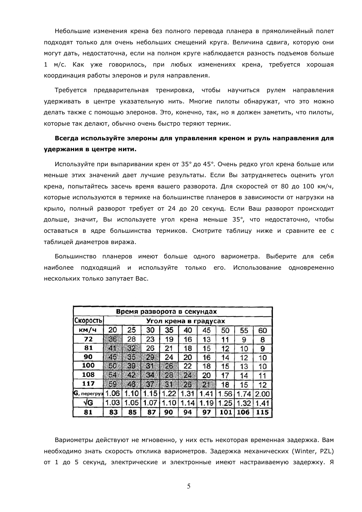Небольшие изменения крена без полного перевода планера в прямолинейный полет подходят только для очень небольших смещений круга. Величина сдвига, которую они могут дать, недостаточна, если на полном круге наблюдается разность подъемов больше 1 м/с. Как уже говорилось, при любых изменениях крена, требуется хорошая координация работы элеронов и руля направления.

Требуется предварительная тренировка, чтобы научиться рулем направления удерживать в центре указательную нить. Многие пилоты обнаружат, что это можно делать также с помощью элеронов. Это, конечно, так, но я должен заметить, что пилоты, которые так делают, обычно очень быстро теряют термик.

## Всегда используйте элероны для управления креном и руль направления для удержания в центре нити.

Используйте при выпаривании крен от 35° до 45°. Очень редко угол крена больше или меньше этих значений дает лучшие результаты. Если Вы затрудняетесь оценить угол крена, попытайтесь засечь время вашего разворота. Для скоростей от 80 до 100 км/ч, которые используются в термике на большинстве планеров в зависимости от нагрузки на крыло, полный разворот требует от 24 до 20 секунд. Если Ваш разворот происходит дольше, значит, Вы используете угол крена меньше 35°, что недостаточно, чтобы оставаться в ядре большинства термиков. Смотрите таблицу ниже и сравните ее с таблицей диаметров виража.

Большинство планеров имеют больше одного вариометра. Выберите для себя наиболее подходящий и используйте только его. Использование одновременно нескольких только запутает Вас.

| Время разворота в секундах |                       |      |      |      |      |      |      |      |      |
|----------------------------|-----------------------|------|------|------|------|------|------|------|------|
| Скоросты                   | Угол крена в градусах |      |      |      |      |      |      |      |      |
| км/ч                       | 20                    | 25   | 30   | 35   | 40   | 45   | 50   | 55   | 60   |
| 72                         | 36                    | 28   | 23   | 19   | 16   | 13   |      | 9    | 8    |
| 81                         | 25                    | 32.  | 26   | 21   | 18   | 15   | 12   | 10   | 9    |
| 90                         | 45                    | 35   | 29   | 24   | 20   | 16   | 14   | 12   | 10   |
| 100                        | 50                    | 39   | 31   | 26   | 22   | 18   | 15   | 13   | 10   |
| 108                        | 64                    | 42   | 84   | 28   | 24   | 20   | 17   | 14   | 11   |
| 117                        | 59                    | 46,  | 87.  | 31   | 26   | 図    | 18   | 15   | 12   |
| <b>G</b> , перегруз        | 1.06                  | 1.10 | 15   | .22  | 1.31 | .41  | 1.56 | 1.74 | 2.00 |
| √G                         | 1.03                  | 1.05 | 1.07 | 1.10 | 1.14 | 1.19 | 1.25 | 1.32 | 1.41 |
| 81                         | 83                    | 85   | 87   | 90   | 94   | 97   | 101  | 106  | 115  |

Вариометры действуют не мгновенно, у них есть некоторая временная задержка. Вам необходимо знать скорость отклика вариометров. Задержка механических (Winter, PZL) от 1 до 5 секунд, электрические и электронные имеют настраиваемую задержку. Я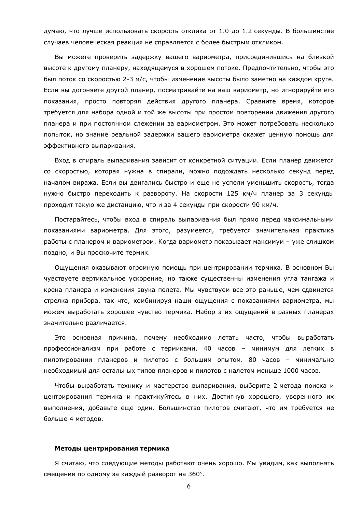думаю, что лучше использовать скорость отклика от 1.0 до 1.2 секунды. В большинстве случаев человеческая реакция не справляется с более быстрым откликом.

Вы можете проверить задержку вашего вариометра, присоединившись на близкой высоте к другому планеру, находящемуся в хорошем потоке. Предпочтительно, чтобы это был поток со скоростью 2-3 м/с, чтобы изменение высоты было заметно на каждом круге. Если вы догоняете другой планер, посматривайте на ваш вариометр, но игнорируйте его показания, просто повторяя действия другого планера. Сравните время, которое требуется для набора одной и той же высоты при простом повторении движения другого планера и при постоянном слежении за вариометром. Это может потребовать несколько попыток, но знание реальной задержки вашего вариометра окажет ценную помощь для эффективного выпаривания.

Вход в спираль выпаривания зависит от конкретной ситуации. Если планер движется со скоростью, которая нужна в спирали, можно подождать несколько секунд перед началом виража. Если вы двигались быстро и еще не успели уменьшить скорость, тогда нужно быстро переходить к развороту. На скорости 125 км/ч планер за 3 секунды проходит такую же дистанцию, что и за 4 секунды при скорости 90 км/ч.

Постарайтесь, чтобы вход в спираль выпаривания был прямо перед максимальными показаниями вариометра. Для этого, разумеется, требуется значительная практика работы с планером и вариометром. Когда вариометр показывает максимум - уже слишком поздно, и Вы проскочите термик.

Ощущения оказывают огромную помощь при центрировании термика. В основном Вы чувствуете вертикальное ускорение, но также существенны изменения угла тангажа и крена планера и изменения звука полета. Мы чувствуем все это раньше, чем сдвинется стрелка прибора, так что, комбинируя наши ощущения с показаниями вариометра, мы можем выработать хорошее чувство термика. Набор этих ощущений в разных планерах значительно различается.

Это основная причина, почему необходимо летать часто, чтобы выработать профессионализм при работе с термиками. 40 часов - минимум для легких в пилотировании планеров и пилотов с большим опытом. 80 часов - минимально необходимый для остальных типов планеров и пилотов с налетом меньше 1000 часов.

Чтобы выработать технику и мастерство выпаривания, выберите 2 метода поиска и центрирования термика и практикуйтесь в них. Достигнув хорошего, уверенного их выполнения, добавьте еще один. Большинство пилотов считают, что им требуется не больше 4 методов.

## Методы центрирования термика

Я считаю, что следующие методы работают очень хорошо. Мы увидим, как выполнять смещения по одному за каждый разворот на 360°.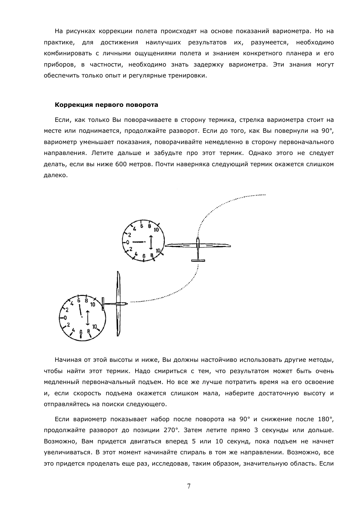На рисунках коррекции полета происходят на основе показаний вариометра. Но на практике, для достижения наилучших результатов их, разумеется, необходимо комбинировать с личными ощущениями полета и знанием конкретного планера и его приборов, в частности, необходимо знать задержку вариометра. Эти знания могут обеспечить только опыт и регулярные тренировки.

#### Коррекция первого поворота

Если, как только Вы поворачиваете в сторону термика, стрелка вариометра стоит на месте или поднимается, продолжайте разворот. Если до того, как Вы повернули на 90°, вариометр уменьшает показания, поворачивайте немедленно в сторону первоначального направления. Летите дальше и забудьте про этот термик. Однако этого не следует делать, если вы ниже 600 метров. Почти наверняка следующий термик окажется слишком далеко.



Начиная от этой высоты и ниже, Вы должны настойчиво использовать другие методы, чтобы найти этот термик. Надо смириться с тем, что результатом может быть очень медленный первоначальный подъем. Но все же лучше потратить время на его освоение и, если скорость подъема окажется слишком мала, наберите достаточную высоту и отправляйтесь на поиски следующего.

Если вариометр показывает набор после поворота на 90° и снижение после 180°, продолжайте разворот до позиции 270°. Затем летите прямо 3 секунды или дольше. Возможно, Вам придется двигаться вперед 5 или 10 секунд, пока подъем не начнет увеличиваться. В этот момент начинайте спираль в том же направлении. Возможно, все это придется проделать еще раз, исследовав, таким образом, значительную область. Если

 $\overline{7}$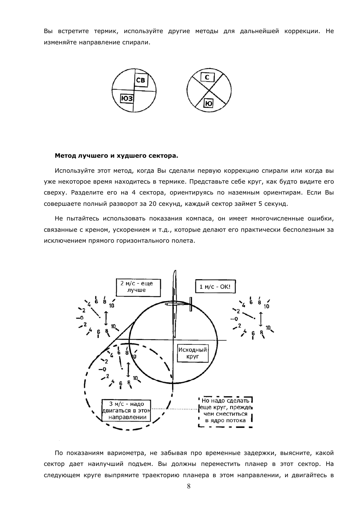Вы встретите термик, используйте другие методы для дальнейшей коррекции. Не изменяйте направление спирали.



#### Метод лучшего и худшего сектора.

Используйте этот метод, когда Вы сделали первую коррекцию спирали или когда вы уже некоторое время находитесь в термике. Представьте себе круг, как будто видите его сверху. Разделите его на 4 сектора, ориентируясь по наземным ориентирам. Если Вы совершаете полный разворот за 20 секунд, каждый сектор займет 5 секунд.

Не пытайтесь использовать показания компаса, он имеет многочисленные ошибки, связанные с креном, ускорением и т.д., которые делают его практически бесполезным за исключением прямого горизонтального полета.



По показаниям вариометра, не забывая про временные задержки, выясните, какой сектор дает наилучший подъем. Вы должны переместить планер в этот сектор. На следующем круге выпрямите траекторию планера в этом направлении, и двигайтесь в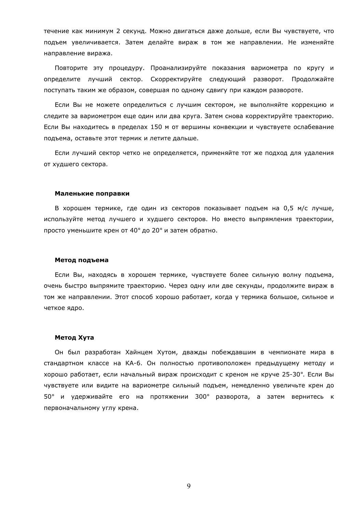течение как минимум 2 секунд. Можно двигаться даже дольше, если Вы чувствуете, что подъем увеличивается. Затем делайте вираж в том же направлении. Не изменяйте направление виража.

Повторите эту процедуру. Проанализируйте показания вариометра по кругу и определите лучший сектор. Скорректируйте следующий разворот. Продолжайте поступать таким же образом, совершая по одному сдвигу при каждом развороте.

Если Вы не можете определиться с лучшим сектором, не выполняйте коррекцию и следите за вариометром еще один или два круга. Затем снова корректируйте траекторию. Если Вы находитесь в пределах 150 м от вершины конвекции и чувствуете ослабевание подъема, оставьте этот термик и летите дальше.

Если лучший сектор четко не определяется, применяйте тот же подход для удаления от худшего сектора.

#### Маленькие поправки

В хорошем термике, где один из секторов показывает подъем на 0,5 м/с лучше, используйте метод лучшего и худшего секторов. Но вместо выпрямления траектории, просто уменьшите крен от 40° до 20° и затем обратно.

#### Метод подъема

Если Вы, находясь в хорошем термике, чувствуете более сильную волну подъема, очень быстро выпрямите траекторию. Через одну или две секунды, продолжите вираж в том же направлении. Этот способ хорошо работает, когда у термика большое, сильное и четкое ядро.

## Метод Хута

Он был разработан Хайнцем Хутом, дважды побеждавшим в чемпионате мира в стандартном классе на КА-6. Он полностью противоположен предыдущему методу и хорошо работает, если начальный вираж происходит с креном не круче 25-30°. Если Вы чувствуете или видите на вариометре сильный подъем, немедленно увеличьте крен до 50° и удерживайте его на протяжении 300° разворота, а затем вернитесь к первоначальному углу крена.